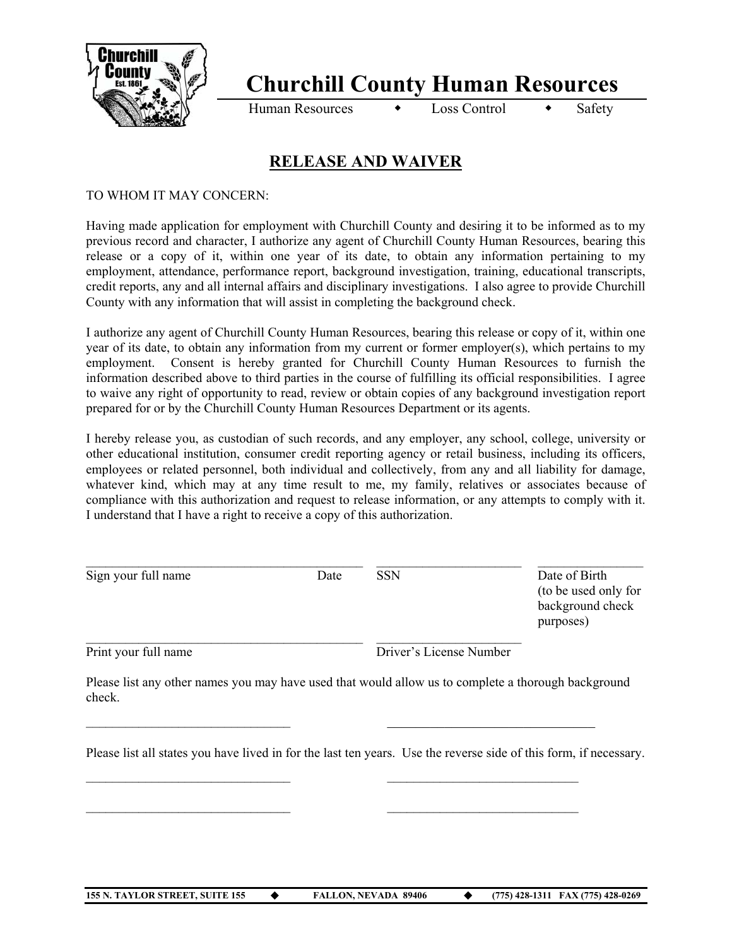

## **Churchill County Human Resources**

Human Resources  $\longrightarrow$  Loss Control  $\longrightarrow$  Safety

## **RELEASE AND WAIVER**

TO WHOM IT MAY CONCERN:

Having made application for employment with Churchill County and desiring it to be informed as to my previous record and character, I authorize any agent of Churchill County Human Resources, bearing this release or a copy of it, within one year of its date, to obtain any information pertaining to my employment, attendance, performance report, background investigation, training, educational transcripts, credit reports, any and all internal affairs and disciplinary investigations. I also agree to provide Churchill County with any information that will assist in completing the background check.

I authorize any agent of Churchill County Human Resources, bearing this release or copy of it, within one year of its date, to obtain any information from my current or former employer(s), which pertains to my employment. Consent is hereby granted for Churchill County Human Resources to furnish the information described above to third parties in the course of fulfilling its official responsibilities. I agree to waive any right of opportunity to read, review or obtain copies of any background investigation report prepared for or by the Churchill County Human Resources Department or its agents.

I hereby release you, as custodian of such records, and any employer, any school, college, university or other educational institution, consumer credit reporting agency or retail business, including its officers, employees or related personnel, both individual and collectively, from any and all liability for damage, whatever kind, which may at any time result to me, my family, relatives or associates because of compliance with this authorization and request to release information, or any attempts to comply with it. I understand that I have a right to receive a copy of this authorization.

| Sign your full name  | Date | <b>SSN</b>              | Date of Birth<br>(to be used only for<br>background check<br>purposes) |
|----------------------|------|-------------------------|------------------------------------------------------------------------|
| Print your full name |      | Driver's License Number |                                                                        |

Please list any other names you may have used that would allow us to complete a thorough background check.

 $\mathcal{L}_\text{max}$  , and the contract of the contract of the contract of the contract of the contract of the contract of the contract of the contract of the contract of the contract of the contract of the contract of the contr

Please list all states you have lived in for the last ten years. Use the reverse side of this form, if necessary.